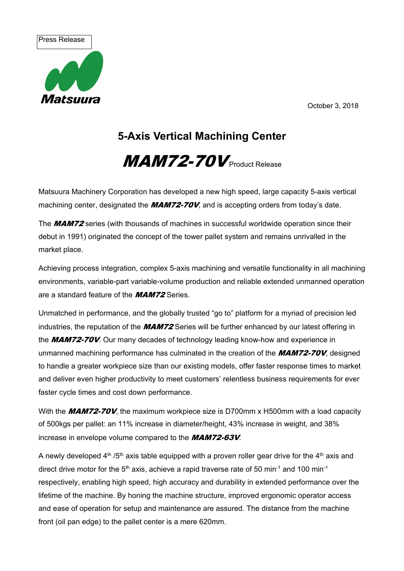October 3, 2018





## **5-Axis Vertical Machining Center**

## $MAM72-70V$  Product Release

Matsuura Machinery Corporation has developed a new high speed, large capacity 5-axis vertical machining center, designated the  $MAMZ-70V$ , and is accepting orders from today's date.

The **MAM72** series (with thousands of machines in successful worldwide operation since their debut in 1991) originated the concept of the tower pallet system and remains unrivalled in the market place.

Achieving process integration, complex 5-axis machining and versatile functionality in all machining environments, variable-part variable-volume production and reliable extended unmanned operation are a standard feature of the **MAM72** Series.

Unmatched in performance, and the globally trusted "go to" platform for a myriad of precision led industries, the reputation of the **MAM72** Series will be further enhanced by our latest offering in the **MAM72-70V**. Our many decades of technology leading know-how and experience in unmanned machining performance has culminated in the creation of the  $MAMZ-70V$ , designed to handle a greater workpiece size than our existing models, offer faster response times to market and deliver even higher productivity to meet customers' relentless business requirements for ever faster cycle times and cost down performance.

With the  $MAM72-70V$ , the maximum workpiece size is D700mm x H500mm with a load capacity of 500kgs per pallet: an 11% increase in diameter/height, 43% increase in weight, and 38% increase in envelope volume compared to the **MAM72-63V**.

A newly developed  $4<sup>th</sup> / 5<sup>th</sup>$  axis table equipped with a proven roller gear drive for the  $4<sup>th</sup>$  axis and direct drive motor for the  $5<sup>th</sup>$  axis, achieve a rapid traverse rate of 50 min<sup>-1</sup> and 100 min<sup>-1</sup> respectively, enabling high speed, high accuracy and durability in extended performance over the lifetime of the machine. By honing the machine structure, improved ergonomic operator access and ease of operation for setup and maintenance are assured. The distance from the machine front (oil pan edge) to the pallet center is a mere 620mm.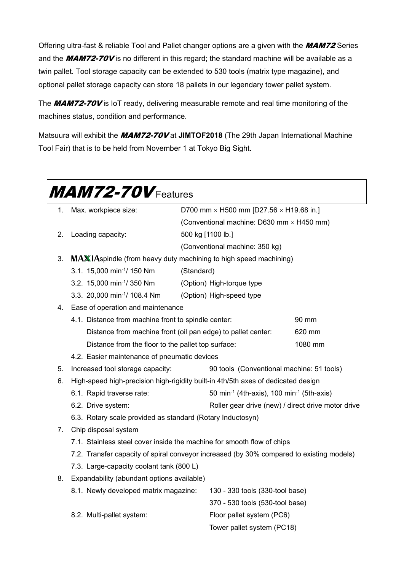Offering ultra-fast & reliable Tool and Pallet changer options are a given with the **MAM72** Series and the  $MAM72-70V$  is no different in this regard; the standard machine will be available as a twin pallet. Tool storage capacity can be extended to 530 tools (matrix type magazine), and optional pallet storage capacity can store 18 pallets in our legendary tower pallet system.

The **MAM72-70V** is IoT ready, delivering measurable remote and real time monitoring of the machines status, condition and performance.

Matsuura will exhibit the MAM72-70V at **JIMTOF2018** (The 29th Japan International Machine Tool Fair) that is to be held from November 1 at Tokyo Big Sight.

| <b>MAM72-70V Features</b> |                                                                                          |                                                                        |                                                    |  |  |  |  |
|---------------------------|------------------------------------------------------------------------------------------|------------------------------------------------------------------------|----------------------------------------------------|--|--|--|--|
| 1.                        | Max. workpiece size:<br>D700 mm $\times$ H500 mm [D27.56 $\times$ H19.68 in.]            |                                                                        |                                                    |  |  |  |  |
|                           |                                                                                          | (Conventional machine: D630 mm × H450 mm)                              |                                                    |  |  |  |  |
| 2.                        | Loading capacity:                                                                        | 500 kg [1100 lb.]                                                      |                                                    |  |  |  |  |
|                           |                                                                                          | (Conventional machine: 350 kg)                                         |                                                    |  |  |  |  |
| 3.                        | <b>MAXIA</b> spindle (from heavy duty machining to high speed machining)                 |                                                                        |                                                    |  |  |  |  |
|                           | 3.1. 15,000 min <sup>-1</sup> / 150 Nm                                                   | (Standard)                                                             |                                                    |  |  |  |  |
|                           | 3.2. 15,000 min <sup>-1</sup> / 350 Nm                                                   | (Option) High-torque type                                              |                                                    |  |  |  |  |
|                           | 3.3. 20,000 min <sup>-1</sup> / 108.4 Nm                                                 | (Option) High-speed type                                               |                                                    |  |  |  |  |
| 4.                        | Ease of operation and maintenance                                                        |                                                                        |                                                    |  |  |  |  |
|                           | 4.1. Distance from machine front to spindle center:                                      | 90 mm                                                                  |                                                    |  |  |  |  |
|                           |                                                                                          | Distance from machine front (oil pan edge) to pallet center:<br>620 mm |                                                    |  |  |  |  |
|                           | Distance from the floor to the pallet top surface:<br>1080 mm                            |                                                                        |                                                    |  |  |  |  |
|                           | 4.2. Easier maintenance of pneumatic devices                                             |                                                                        |                                                    |  |  |  |  |
| 5.                        | Increased tool storage capacity:                                                         | 90 tools (Conventional machine: 51 tools)                              |                                                    |  |  |  |  |
| 6.                        | High-speed high-precision high-rigidity built-in 4th/5th axes of dedicated design        |                                                                        |                                                    |  |  |  |  |
|                           | 6.1. Rapid traverse rate:                                                                | 50 min <sup>-1</sup> (4th-axis), 100 min <sup>-1</sup> (5th-axis)      |                                                    |  |  |  |  |
|                           | 6.2. Drive system:                                                                       |                                                                        | Roller gear drive (new) / direct drive motor drive |  |  |  |  |
|                           | 6.3. Rotary scale provided as standard (Rotary Inductosyn)                               |                                                                        |                                                    |  |  |  |  |
| 7.                        | Chip disposal system                                                                     |                                                                        |                                                    |  |  |  |  |
|                           | 7.1. Stainless steel cover inside the machine for smooth flow of chips                   |                                                                        |                                                    |  |  |  |  |
|                           | 7.2. Transfer capacity of spiral conveyor increased (by 30% compared to existing models) |                                                                        |                                                    |  |  |  |  |
|                           | 7.3. Large-capacity coolant tank (800 L)                                                 |                                                                        |                                                    |  |  |  |  |
| 8.                        | Expandability (abundant options available)                                               |                                                                        |                                                    |  |  |  |  |
|                           | 8.1. Newly developed matrix magazine:                                                    |                                                                        | 130 - 330 tools (330-tool base)                    |  |  |  |  |
|                           |                                                                                          |                                                                        | 370 - 530 tools (530-tool base)                    |  |  |  |  |
|                           | 8.2. Multi-pallet system:                                                                |                                                                        | Floor pallet system (PC6)                          |  |  |  |  |
|                           |                                                                                          | Tower pallet system (PC18)                                             |                                                    |  |  |  |  |